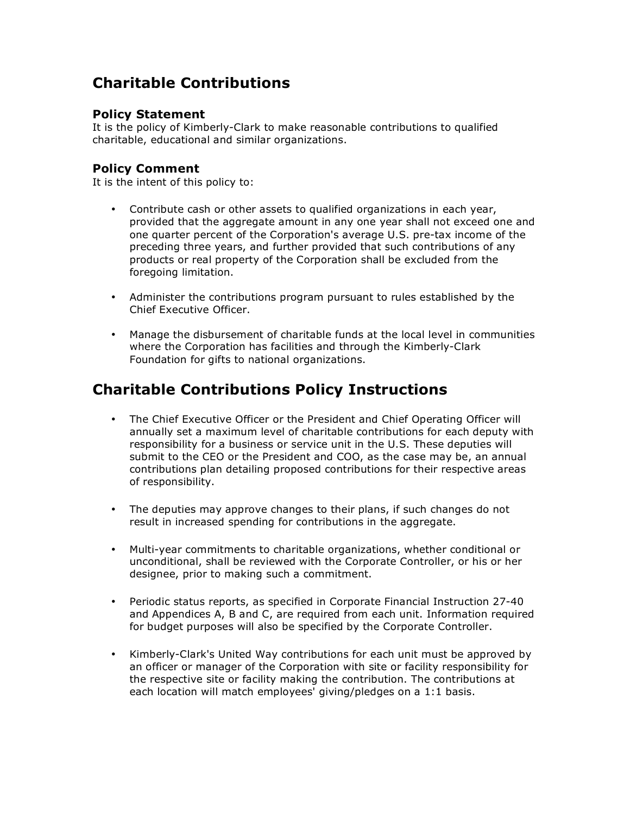## **Charitable Contributions**

## **Policy Statement**

It is the policy of Kimberly-Clark to make reasonable contributions to qualified charitable, educational and similar organizations.

## **Policy Comment**

It is the intent of this policy to:

- Contribute cash or other assets to qualified organizations in each year, provided that the aggregate amount in any one year shall not exceed one and one quarter percent of the Corporation's average U.S. pre-tax income of the preceding three years, and further provided that such contributions of any products or real property of the Corporation shall be excluded from the foregoing limitation.
- Administer the contributions program pursuant to rules established by the Chief Executive Officer.
- Manage the disbursement of charitable funds at the local level in communities where the Corporation has facilities and through the Kimberly-Clark Foundation for gifts to national organizations.

## **Charitable Contributions Policy Instructions**

- The Chief Executive Officer or the President and Chief Operating Officer will annually set a maximum level of charitable contributions for each deputy with responsibility for a business or service unit in the U.S. These deputies will submit to the CEO or the President and COO, as the case may be, an annual contributions plan detailing proposed contributions for their respective areas of responsibility.
- The deputies may approve changes to their plans, if such changes do not result in increased spending for contributions in the aggregate.
- Multi-year commitments to charitable organizations, whether conditional or unconditional, shall be reviewed with the Corporate Controller, or his or her designee, prior to making such a commitment.
- Periodic status reports, as specified in Corporate Financial Instruction 27-40 and Appendices A, B and C, are required from each unit. Information required for budget purposes will also be specified by the Corporate Controller.
- Kimberly-Clark's United Way contributions for each unit must be approved by an officer or manager of the Corporation with site or facility responsibility for the respective site or facility making the contribution. The contributions at each location will match employees' giving/pledges on a 1:1 basis.